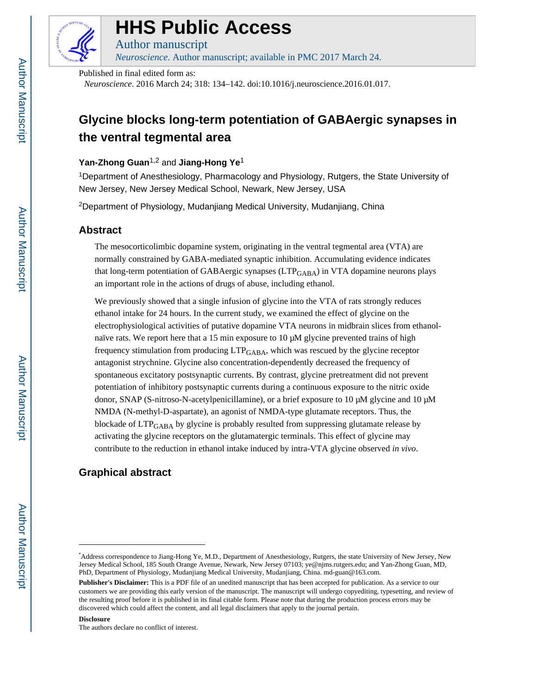

# **HHS Public Access**

Author manuscript *Neuroscience*. Author manuscript; available in PMC 2017 March 24.

Published in final edited form as:

*Neuroscience*. 2016 March 24; 318: 134–142. doi:10.1016/j.neuroscience.2016.01.017.

## **Glycine blocks long-term potentiation of GABAergic synapses in the ventral tegmental area**

## **Yan-Zhong Guan**1,2 and **Jiang-Hong Ye**<sup>1</sup>

<sup>1</sup>Department of Anesthesiology, Pharmacology and Physiology, Rutgers, the State University of New Jersey, New Jersey Medical School, Newark, New Jersey, USA

<sup>2</sup>Department of Physiology, Mudanjiang Medical University, Mudanjiang, China

## **Abstract**

The mesocorticolimbic dopamine system, originating in the ventral tegmental area (VTA) are normally constrained by GABA-mediated synaptic inhibition. Accumulating evidence indicates that long-term potentiation of GABAergic synapses  $(LTP<sub>GABA</sub>)$  in VTA dopamine neurons plays an important role in the actions of drugs of abuse, including ethanol.

We previously showed that a single infusion of glycine into the VTA of rats strongly reduces ethanol intake for 24 hours. In the current study, we examined the effect of glycine on the electrophysiological activities of putative dopamine VTA neurons in midbrain slices from ethanolnaïve rats. We report here that a 15 min exposure to 10  $\mu$ M glycine prevented trains of high frequency stimulation from producing  $LTP_{GABA}$ , which was rescued by the glycine receptor antagonist strychnine. Glycine also concentration-dependently decreased the frequency of spontaneous excitatory postsynaptic currents. By contrast, glycine pretreatment did not prevent potentiation of inhibitory postsynaptic currents during a continuous exposure to the nitric oxide donor, SNAP (S-nitroso-N-acetylpenicillamine), or a brief exposure to 10 μM glycine and 10 μM NMDA (N-methyl-D-aspartate), an agonist of NMDA-type glutamate receptors. Thus, the blockade of  $LTP<sub>GABA</sub>$  by glycine is probably resulted from suppressing glutamate release by activating the glycine receptors on the glutamatergic terminals. This effect of glycine may contribute to the reduction in ethanol intake induced by intra-VTA glycine observed *in vivo*.

## **Graphical abstract**

#### **Disclosure**

The authors declare no conflict of interest.

<sup>\*</sup>Address correspondence to Jiang-Hong Ye, M.D., Department of Anesthesiology, Rutgers, the state University of New Jersey, New Jersey Medical School, 185 South Orange Avenue, Newark, New Jersey 07103; ye@njms.rutgers.edu; and Yan-Zhong Guan, MD, PhD, Department of Physiology, Mudanjiang Medical University, Mudanjiang, China. md-guan@163.com.

**Publisher's Disclaimer:** This is a PDF file of an unedited manuscript that has been accepted for publication. As a service to our customers we are providing this early version of the manuscript. The manuscript will undergo copyediting, typesetting, and review of the resulting proof before it is published in its final citable form. Please note that during the production process errors may be discovered which could affect the content, and all legal disclaimers that apply to the journal pertain.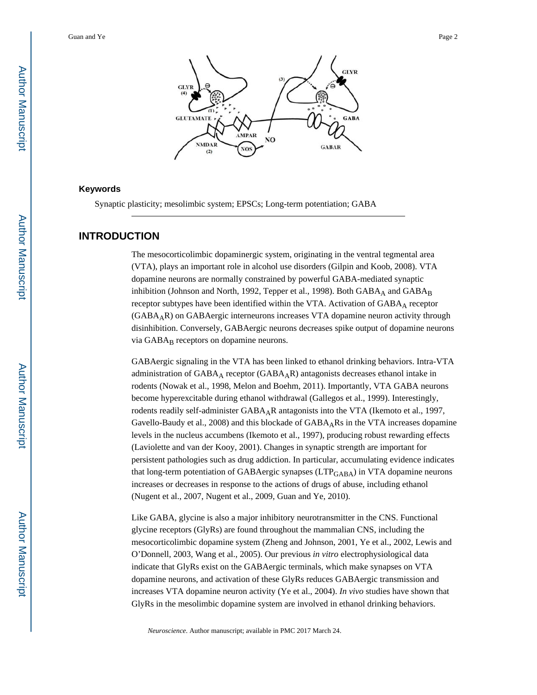

#### **Keywords**

Synaptic plasticity; mesolimbic system; EPSCs; Long-term potentiation; GABA

## **INTRODUCTION**

The mesocorticolimbic dopaminergic system, originating in the ventral tegmental area (VTA), plays an important role in alcohol use disorders (Gilpin and Koob, 2008). VTA dopamine neurons are normally constrained by powerful GABA-mediated synaptic inhibition (Johnson and North, 1992, Tepper et al., 1998). Both GABA<sub>A</sub> and GABA<sub>B</sub> receptor subtypes have been identified within the VTA. Activation of GABAA receptor (GABAAR) on GABAergic interneurons increases VTA dopamine neuron activity through disinhibition. Conversely, GABAergic neurons decreases spike output of dopamine neurons via  $GABA_B$  receptors on dopamine neurons.

GABAergic signaling in the VTA has been linked to ethanol drinking behaviors. Intra-VTA administration of  $GABA_A$  receptor  $(GABA_AR)$  antagonists decreases ethanol intake in rodents (Nowak et al., 1998, Melon and Boehm, 2011). Importantly, VTA GABA neurons become hyperexcitable during ethanol withdrawal (Gallegos et al., 1999). Interestingly, rodents readily self-administer GABAAR antagonists into the VTA (Ikemoto et al., 1997, Gavello-Baudy et al., 2008) and this blockade of  $GABA<sub>A</sub>RS$  in the VTA increases dopamine levels in the nucleus accumbens (Ikemoto et al., 1997), producing robust rewarding effects (Laviolette and van der Kooy, 2001). Changes in synaptic strength are important for persistent pathologies such as drug addiction. In particular, accumulating evidence indicates that long-term potentiation of GABAergic synapses (LTP<sub>GABA</sub>) in VTA dopamine neurons increases or decreases in response to the actions of drugs of abuse, including ethanol (Nugent et al., 2007, Nugent et al., 2009, Guan and Ye, 2010).

Like GABA, glycine is also a major inhibitory neurotransmitter in the CNS. Functional glycine receptors (GlyRs) are found throughout the mammalian CNS, including the mesocorticolimbic dopamine system (Zheng and Johnson, 2001, Ye et al., 2002, Lewis and O'Donnell, 2003, Wang et al., 2005). Our previous *in vitro* electrophysiological data indicate that GlyRs exist on the GABAergic terminals, which make synapses on VTA dopamine neurons, and activation of these GlyRs reduces GABAergic transmission and increases VTA dopamine neuron activity (Ye et al., 2004). *In vivo* studies have shown that GlyRs in the mesolimbic dopamine system are involved in ethanol drinking behaviors.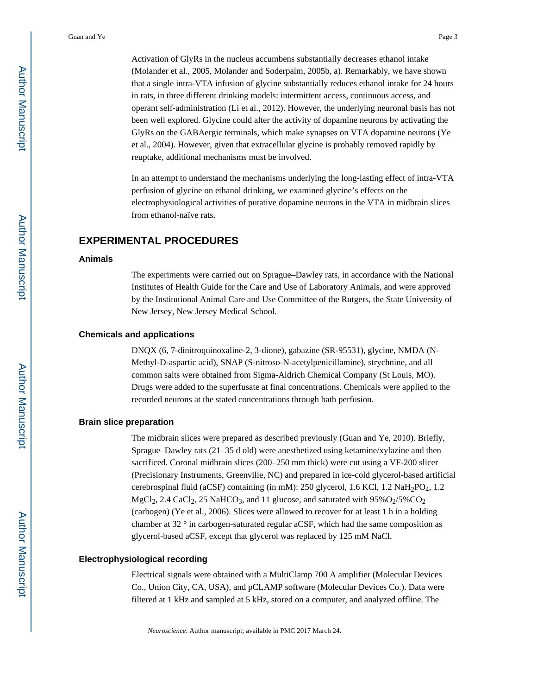Activation of GlyRs in the nucleus accumbens substantially decreases ethanol intake (Molander et al., 2005, Molander and Soderpalm, 2005b, a). Remarkably, we have shown that a single intra-VTA infusion of glycine substantially reduces ethanol intake for 24 hours in rats, in three different drinking models: intermittent access, continuous access, and operant self-administration (Li et al., 2012). However, the underlying neuronal basis has not been well explored. Glycine could alter the activity of dopamine neurons by activating the GlyRs on the GABAergic terminals, which make synapses on VTA dopamine neurons (Ye et al., 2004). However, given that extracellular glycine is probably removed rapidly by reuptake, additional mechanisms must be involved.

In an attempt to understand the mechanisms underlying the long-lasting effect of intra-VTA perfusion of glycine on ethanol drinking, we examined glycine's effects on the electrophysiological activities of putative dopamine neurons in the VTA in midbrain slices from ethanol-naïve rats.

## **EXPERIMENTAL PROCEDURES**

#### **Animals**

The experiments were carried out on Sprague–Dawley rats, in accordance with the National Institutes of Health Guide for the Care and Use of Laboratory Animals, and were approved by the Institutional Animal Care and Use Committee of the Rutgers, the State University of New Jersey, New Jersey Medical School.

#### **Chemicals and applications**

DNQX (6, 7-dinitroquinoxaline-2, 3-dione), gabazine (SR-95531), glycine, NMDA (N-Methyl-D-aspartic acid), SNAP (S-nitroso-N-acetylpenicillamine), strychnine, and all common salts were obtained from Sigma-Aldrich Chemical Company (St Louis, MO). Drugs were added to the superfusate at final concentrations. Chemicals were applied to the recorded neurons at the stated concentrations through bath perfusion.

#### **Brain slice preparation**

The midbrain slices were prepared as described previously (Guan and Ye, 2010). Briefly, Sprague–Dawley rats (21–35 d old) were anesthetized using ketamine/xylazine and then sacrificed. Coronal midbrain slices (200–250 mm thick) were cut using a VF-200 slicer (Precisionary Instruments, Greenville, NC) and prepared in ice-cold glycerol-based artificial cerebrospinal fluid (aCSF) containing (in mM): 250 glycerol, 1.6 KCl, 1.2 NaH<sub>2</sub>PO<sub>4</sub>, 1.2 MgCl<sub>2</sub>, 2.4 CaCl<sub>2</sub>, 25 NaHCO<sub>3</sub>, and 11 glucose, and saturated with  $95\%O_2/5\%CO_2$ (carbogen) (Ye et al., 2006). Slices were allowed to recover for at least 1 h in a holding chamber at 32 ° in carbogen-saturated regular aCSF, which had the same composition as glycerol-based aCSF, except that glycerol was replaced by 125 mM NaCl.

#### **Electrophysiological recording**

Electrical signals were obtained with a MultiClamp 700 A amplifier (Molecular Devices Co., Union City, CA, USA), and pCLAMP software (Molecular Devices Co.). Data were filtered at 1 kHz and sampled at 5 kHz, stored on a computer, and analyzed offline. The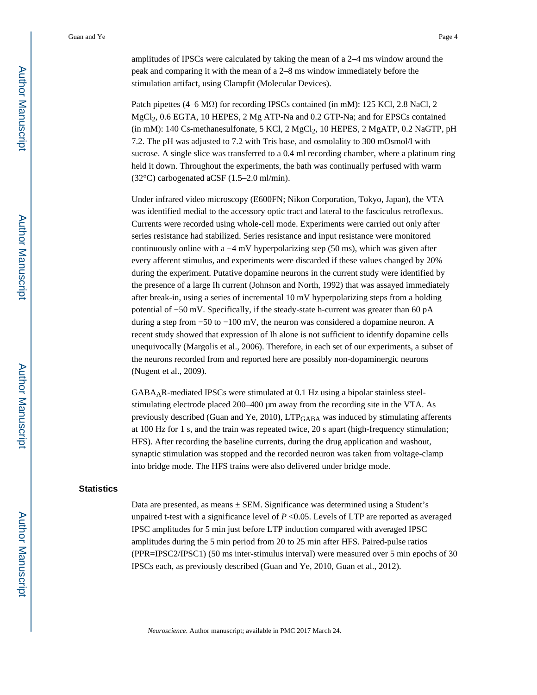amplitudes of IPSCs were calculated by taking the mean of a 2–4 ms window around the peak and comparing it with the mean of a 2–8 ms window immediately before the stimulation artifact, using Clampfit (Molecular Devices).

Patch pipettes (4–6 M $\Omega$ ) for recording IPSCs contained (in mM): 125 KCl, 2.8 NaCl, 2. MgCl<sub>2</sub>, 0.6 EGTA, 10 HEPES, 2 Mg ATP-Na and 0.2 GTP-Na; and for EPSCs contained  $(iin mM)$ : 140 Cs-methanesulfonate, 5 KCl, 2 MgCl<sub>2</sub>, 10 HEPES, 2 MgATP, 0.2 NaGTP, pH 7.2. The pH was adjusted to 7.2 with Tris base, and osmolality to 300 mOsmol/l with sucrose. A single slice was transferred to a 0.4 ml recording chamber, where a platinum ring held it down. Throughout the experiments, the bath was continually perfused with warm (32°C) carbogenated aCSF (1.5–2.0 ml/min).

Under infrared video microscopy (E600FN; Nikon Corporation, Tokyo, Japan), the VTA was identified medial to the accessory optic tract and lateral to the fasciculus retroflexus. Currents were recorded using whole-cell mode. Experiments were carried out only after series resistance had stabilized. Series resistance and input resistance were monitored continuously online with a −4 mV hyperpolarizing step (50 ms), which was given after every afferent stimulus, and experiments were discarded if these values changed by 20% during the experiment. Putative dopamine neurons in the current study were identified by the presence of a large Ih current (Johnson and North, 1992) that was assayed immediately after break-in, using a series of incremental 10 mV hyperpolarizing steps from a holding potential of −50 mV. Specifically, if the steady-state h-current was greater than 60 pA during a step from −50 to −100 mV, the neuron was considered a dopamine neuron. A recent study showed that expression of Ih alone is not sufficient to identify dopamine cells unequivocally (Margolis et al., 2006). Therefore, in each set of our experiments, a subset of the neurons recorded from and reported here are possibly non-dopaminergic neurons (Nugent et al., 2009).

 $GABA<sub>A</sub>R$ -mediated IPSCs were stimulated at 0.1 Hz using a bipolar stainless steelstimulating electrode placed 200–400 μm away from the recording site in the VTA. As previously described (Guan and Ye, 2010), LTP<sub>GABA</sub> was induced by stimulating afferents at 100 Hz for 1 s, and the train was repeated twice, 20 s apart (high-frequency stimulation; HFS). After recording the baseline currents, during the drug application and washout, synaptic stimulation was stopped and the recorded neuron was taken from voltage-clamp into bridge mode. The HFS trains were also delivered under bridge mode.

#### **Statistics**

Data are presented, as means  $\pm$  SEM. Significance was determined using a Student's unpaired t-test with a significance level of  $P \le 0.05$ . Levels of LTP are reported as averaged IPSC amplitudes for 5 min just before LTP induction compared with averaged IPSC amplitudes during the 5 min period from 20 to 25 min after HFS. Paired-pulse ratios (PPR=IPSC2/IPSC1) (50 ms inter-stimulus interval) were measured over 5 min epochs of 30 IPSCs each, as previously described (Guan and Ye, 2010, Guan et al., 2012).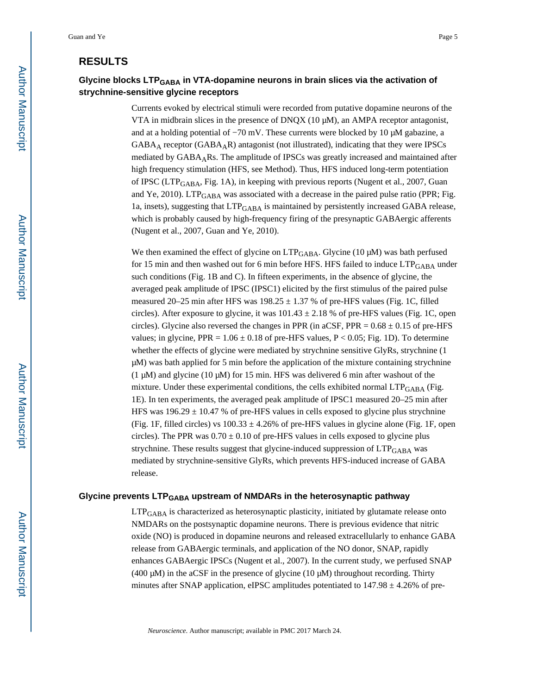## **RESULTS**

## **Glycine blocks LTPGABA in VTA-dopamine neurons in brain slices via the activation of strychnine-sensitive glycine receptors**

Currents evoked by electrical stimuli were recorded from putative dopamine neurons of the VTA in midbrain slices in the presence of DNQX (10  $\mu$ M), an AMPA receptor antagonist, and at a holding potential of  $-70$  mV. These currents were blocked by 10  $\mu$ M gabazine, a GABAA receptor (GABAAR) antagonist (not illustrated), indicating that they were IPSCs mediated by GABAARs. The amplitude of IPSCs was greatly increased and maintained after high frequency stimulation (HFS, see Method). Thus, HFS induced long-term potentiation of IPSC (LTPGABA, Fig. 1A), in keeping with previous reports (Nugent et al., 2007, Guan and Ye, 2010). LTP $_{\rm GABA}$  was associated with a decrease in the paired pulse ratio (PPR; Fig. 1a, insets), suggesting that LTPGABA is maintained by persistently increased GABA release, which is probably caused by high-frequency firing of the presynaptic GABAergic afferents (Nugent et al., 2007, Guan and Ye, 2010).

We then examined the effect of glycine on  $LTP_{\rm GABA}$ . Glycine (10 µM) was bath perfused for 15 min and then washed out for 6 min before HFS. HFS failed to induce LTP<sub>GABA</sub> under such conditions (Fig. 1B and C). In fifteen experiments, in the absence of glycine, the averaged peak amplitude of IPSC (IPSC1) elicited by the first stimulus of the paired pulse measured 20–25 min after HFS was  $198.25 \pm 1.37$  % of pre-HFS values (Fig. 1C, filled circles). After exposure to glycine, it was  $101.43 \pm 2.18$  % of pre-HFS values (Fig. 1C, open circles). Glycine also reversed the changes in PPR (in aCSF, PPR =  $0.68 \pm 0.15$  of pre-HFS values; in glycine, PPR =  $1.06 \pm 0.18$  of pre-HFS values, P < 0.05; Fig. 1D). To determine whether the effects of glycine were mediated by strychnine sensitive GlyRs, strychnine (1 μM) was bath applied for 5 min before the application of the mixture containing strychnine (1 μM) and glycine (10 μM) for 15 min. HFS was delivered 6 min after washout of the mixture. Under these experimental conditions, the cells exhibited normal  $\text{LTP}_{\text{GABA}}$  (Fig. 1E). In ten experiments, the averaged peak amplitude of IPSC1 measured 20–25 min after HFS was  $196.29 \pm 10.47$  % of pre-HFS values in cells exposed to glycine plus strychnine (Fig. 1F, filled circles) vs  $100.33 \pm 4.26\%$  of pre-HFS values in glycine alone (Fig. 1F, open circles). The PPR was  $0.70 \pm 0.10$  of pre-HFS values in cells exposed to glycine plus strychnine. These results suggest that glycine-induced suppression of LTP<sub>GABA</sub> was mediated by strychnine-sensitive GlyRs, which prevents HFS-induced increase of GABA release.

#### **Glycine prevents LTPGABA upstream of NMDARs in the heterosynaptic pathway**

 $LTP<sub>GABA</sub>$  is characterized as heterosynaptic plasticity, initiated by glutamate release onto NMDARs on the postsynaptic dopamine neurons. There is previous evidence that nitric oxide (NO) is produced in dopamine neurons and released extracellularly to enhance GABA release from GABAergic terminals, and application of the NO donor, SNAP, rapidly enhances GABAergic IPSCs (Nugent et al., 2007). In the current study, we perfused SNAP (400 μM) in the aCSF in the presence of glycine (10 μM) throughout recording. Thirty minutes after SNAP application, eIPSC amplitudes potentiated to  $147.98 \pm 4.26\%$  of pre-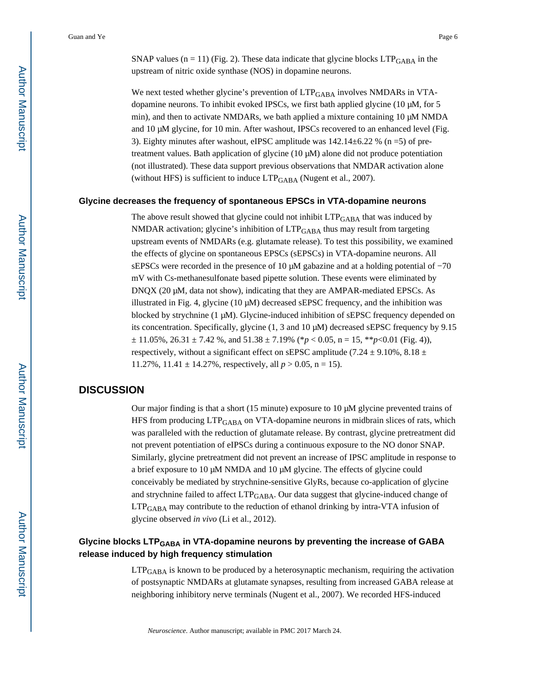SNAP values ( $n = 11$ ) (Fig. 2). These data indicate that glycine blocks  $LTP<sub>GABA</sub>$  in the upstream of nitric oxide synthase (NOS) in dopamine neurons.

We next tested whether glycine's prevention of  $LTP<sub>GABA</sub>$  involves NMDARs in VTAdopamine neurons. To inhibit evoked IPSCs, we first bath applied glycine (10 μM, for 5 min), and then to activate NMDARs, we bath applied a mixture containing 10 μM NMDA and 10 μM glycine, for 10 min. After washout, IPSCs recovered to an enhanced level (Fig. 3). Eighty minutes after washout, eIPSC amplitude was  $142.14\pm6.22$  % (n = 5) of pretreatment values. Bath application of glycine (10 μM) alone did not produce potentiation (not illustrated). These data support previous observations that NMDAR activation alone (without HFS) is sufficient to induce  $LTP_{GABA}$  (Nugent et al., 2007).

#### **Glycine decreases the frequency of spontaneous EPSCs in VTA-dopamine neurons**

The above result showed that glycine could not inhibit  $LTP_{GABA}$  that was induced by NMDAR activation; glycine's inhibition of  $LTP<sub>GABA</sub>$  thus may result from targeting upstream events of NMDARs (e.g. glutamate release). To test this possibility, we examined the effects of glycine on spontaneous EPSCs (sEPSCs) in VTA-dopamine neurons. All sEPSCs were recorded in the presence of 10  $\mu$ M gabazine and at a holding potential of  $-70$ mV with Cs-methanesulfonate based pipette solution. These events were eliminated by DNQX (20 μM, data not show), indicating that they are AMPAR-mediated EPSCs. As illustrated in Fig. 4, glycine (10  $\mu$ M) decreased sEPSC frequency, and the inhibition was blocked by strychnine (1 μM). Glycine-induced inhibition of sEPSC frequency depended on its concentration. Specifically, glycine (1, 3 and 10 μM) decreased sEPSC frequency by 9.15  $\pm$  11.05%, 26.31  $\pm$  7.42 %, and 51.38  $\pm$  7.19% (\* $p$  < 0.05, n = 15, \*\* $p$  < 0.01 (Fig. 4)), respectively, without a significant effect on sEPSC amplitude (7.24  $\pm$  9.10%, 8.18  $\pm$ 11.27%,  $11.41 \pm 14.27$ %, respectively, all  $p > 0.05$ , n = 15).

## **DISCUSSION**

Our major finding is that a short (15 minute) exposure to 10 μM glycine prevented trains of HFS from producing  $LTP<sub>GABA</sub>$  on VTA-dopamine neurons in midbrain slices of rats, which was paralleled with the reduction of glutamate release. By contrast, glycine pretreatment did not prevent potentiation of eIPSCs during a continuous exposure to the NO donor SNAP. Similarly, glycine pretreatment did not prevent an increase of IPSC amplitude in response to a brief exposure to 10 μM NMDA and 10 μM glycine. The effects of glycine could conceivably be mediated by strychnine-sensitive GlyRs, because co-application of glycine and strychnine failed to affect LTP<sub>GABA</sub>. Our data suggest that glycine-induced change of LTPGABA may contribute to the reduction of ethanol drinking by intra-VTA infusion of glycine observed *in vivo* (Li et al., 2012).

## **Glycine blocks LTPGABA in VTA-dopamine neurons by preventing the increase of GABA release induced by high frequency stimulation**

 $LTP<sub>GABA</sub>$  is known to be produced by a heterosynaptic mechanism, requiring the activation of postsynaptic NMDARs at glutamate synapses, resulting from increased GABA release at neighboring inhibitory nerve terminals (Nugent et al., 2007). We recorded HFS-induced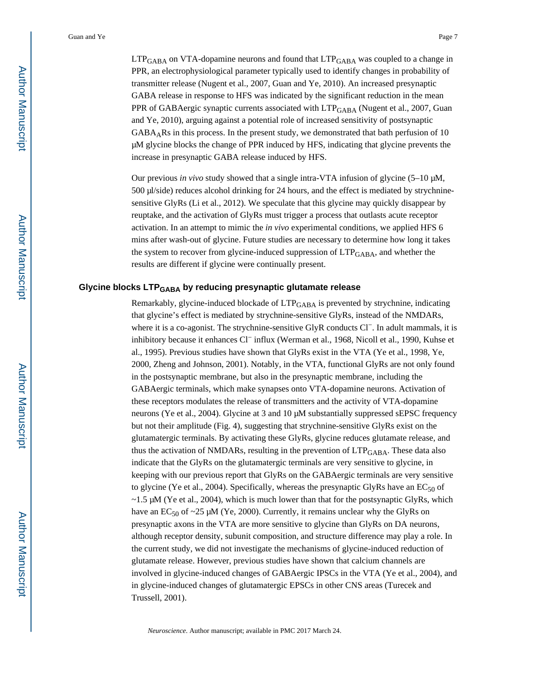LTP<sub>GABA</sub> on VTA-dopamine neurons and found that LTP<sub>GABA</sub> was coupled to a change in PPR, an electrophysiological parameter typically used to identify changes in probability of transmitter release (Nugent et al., 2007, Guan and Ye, 2010). An increased presynaptic GABA release in response to HFS was indicated by the significant reduction in the mean PPR of GABAergic synaptic currents associated with LTP<sub>GABA</sub> (Nugent et al., 2007, Guan and Ye, 2010), arguing against a potential role of increased sensitivity of postsynaptic  $GABA<sub>A</sub>Rs$  in this process. In the present study, we demonstrated that bath perfusion of 10 μM glycine blocks the change of PPR induced by HFS, indicating that glycine prevents the increase in presynaptic GABA release induced by HFS.

Our previous *in vivo* study showed that a single intra-VTA infusion of glycine (5–10 μM, 500 μl/side) reduces alcohol drinking for 24 hours, and the effect is mediated by strychninesensitive GlyRs (Li et al., 2012). We speculate that this glycine may quickly disappear by reuptake, and the activation of GlyRs must trigger a process that outlasts acute receptor activation. In an attempt to mimic the *in vivo* experimental conditions, we applied HFS 6 mins after wash-out of glycine. Future studies are necessary to determine how long it takes the system to recover from glycine-induced suppression of  $LTP<sub>GABA</sub>$ , and whether the results are different if glycine were continually present.

#### **Glycine blocks LTPGABA by reducing presynaptic glutamate release**

Remarkably, glycine-induced blockade of  $LTP<sub>GABA</sub>$  is prevented by strychnine, indicating that glycine's effect is mediated by strychnine-sensitive GlyRs, instead of the NMDARs, where it is a co-agonist. The strychnine-sensitive GlyR conducts Cl<sup>−</sup>. In adult mammals, it is inhibitory because it enhances Cl− influx (Werman et al., 1968, Nicoll et al., 1990, Kuhse et al., 1995). Previous studies have shown that GlyRs exist in the VTA (Ye et al., 1998, Ye, 2000, Zheng and Johnson, 2001). Notably, in the VTA, functional GlyRs are not only found in the postsynaptic membrane, but also in the presynaptic membrane, including the GABAergic terminals, which make synapses onto VTA-dopamine neurons. Activation of these receptors modulates the release of transmitters and the activity of VTA-dopamine neurons (Ye et al., 2004). Glycine at 3 and 10 μM substantially suppressed sEPSC frequency but not their amplitude (Fig. 4), suggesting that strychnine-sensitive GlyRs exist on the glutamatergic terminals. By activating these GlyRs, glycine reduces glutamate release, and thus the activation of NMDARs, resulting in the prevention of LTP<sub>GABA</sub>. These data also indicate that the GlyRs on the glutamatergic terminals are very sensitive to glycine, in keeping with our previous report that GlyRs on the GABAergic terminals are very sensitive to glycine (Ye et al., 2004). Specifically, whereas the presynaptic GlyRs have an  $EC_{50}$  of  $\sim$ 1.5 μM (Ye et al., 2004), which is much lower than that for the postsynaptic GlyRs, which have an  $EC_{50}$  of ~25 µM (Ye, 2000). Currently, it remains unclear why the GlyRs on presynaptic axons in the VTA are more sensitive to glycine than GlyRs on DA neurons, although receptor density, subunit composition, and structure difference may play a role. In the current study, we did not investigate the mechanisms of glycine-induced reduction of glutamate release. However, previous studies have shown that calcium channels are involved in glycine-induced changes of GABAergic IPSCs in the VTA (Ye et al., 2004), and in glycine-induced changes of glutamatergic EPSCs in other CNS areas (Turecek and Trussell, 2001).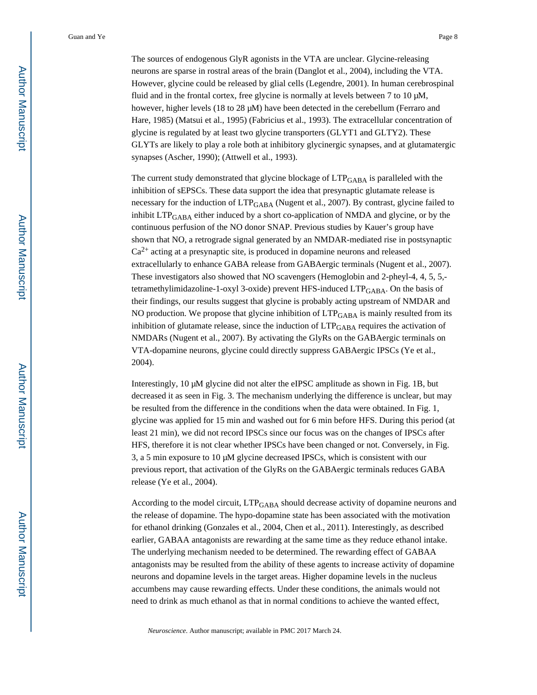The sources of endogenous GlyR agonists in the VTA are unclear. Glycine-releasing neurons are sparse in rostral areas of the brain (Danglot et al., 2004), including the VTA. However, glycine could be released by glial cells (Legendre, 2001). In human cerebrospinal fluid and in the frontal cortex, free glycine is normally at levels between 7 to 10 μM, however, higher levels (18 to 28 μM) have been detected in the cerebellum (Ferraro and Hare, 1985) (Matsui et al., 1995) (Fabricius et al., 1993). The extracellular concentration of glycine is regulated by at least two glycine transporters (GLYT1 and GLTY2). These GLYTs are likely to play a role both at inhibitory glycinergic synapses, and at glutamatergic synapses (Ascher, 1990); (Attwell et al., 1993).

The current study demonstrated that glycine blockage of LTP<sub>GABA</sub> is paralleled with the inhibition of sEPSCs. These data support the idea that presynaptic glutamate release is necessary for the induction of LTP<sub>GABA</sub> (Nugent et al., 2007). By contrast, glycine failed to inhibit  $LTP<sub>GABA</sub>$  either induced by a short co-application of NMDA and glycine, or by the continuous perfusion of the NO donor SNAP. Previous studies by Kauer's group have shown that NO, a retrograde signal generated by an NMDAR-mediated rise in postsynaptic  $Ca<sup>2+</sup>$  acting at a presynaptic site, is produced in dopamine neurons and released extracellularly to enhance GABA release from GABAergic terminals (Nugent et al., 2007). These investigators also showed that NO scavengers (Hemoglobin and 2-pheyl-4, 4, 5, 5, tetramethylimidazoline-1-oxyl 3-oxide) prevent HFS-induced  $LTP<sub>GABA</sub>$ . On the basis of their findings, our results suggest that glycine is probably acting upstream of NMDAR and NO production. We propose that glycine inhibition of  $LTP<sub>GABA</sub>$  is mainly resulted from its inhibition of glutamate release, since the induction of  $LTP<sub>GABA</sub>$  requires the activation of NMDARs (Nugent et al., 2007). By activating the GlyRs on the GABAergic terminals on VTA-dopamine neurons, glycine could directly suppress GABAergic IPSCs (Ye et al., 2004).

Interestingly, 10 μM glycine did not alter the eIPSC amplitude as shown in Fig. 1B, but decreased it as seen in Fig. 3. The mechanism underlying the difference is unclear, but may be resulted from the difference in the conditions when the data were obtained. In Fig. 1, glycine was applied for 15 min and washed out for 6 min before HFS. During this period (at least 21 min), we did not record IPSCs since our focus was on the changes of IPSCs after HFS, therefore it is not clear whether IPSCs have been changed or not. Conversely, in Fig. 3, a 5 min exposure to 10 μM glycine decreased IPSCs, which is consistent with our previous report, that activation of the GlyRs on the GABAergic terminals reduces GABA release (Ye et al., 2004).

According to the model circuit, LTPGABA should decrease activity of dopamine neurons and the release of dopamine. The hypo-dopamine state has been associated with the motivation for ethanol drinking (Gonzales et al., 2004, Chen et al., 2011). Interestingly, as described earlier, GABAA antagonists are rewarding at the same time as they reduce ethanol intake. The underlying mechanism needed to be determined. The rewarding effect of GABAA antagonists may be resulted from the ability of these agents to increase activity of dopamine neurons and dopamine levels in the target areas. Higher dopamine levels in the nucleus accumbens may cause rewarding effects. Under these conditions, the animals would not need to drink as much ethanol as that in normal conditions to achieve the wanted effect,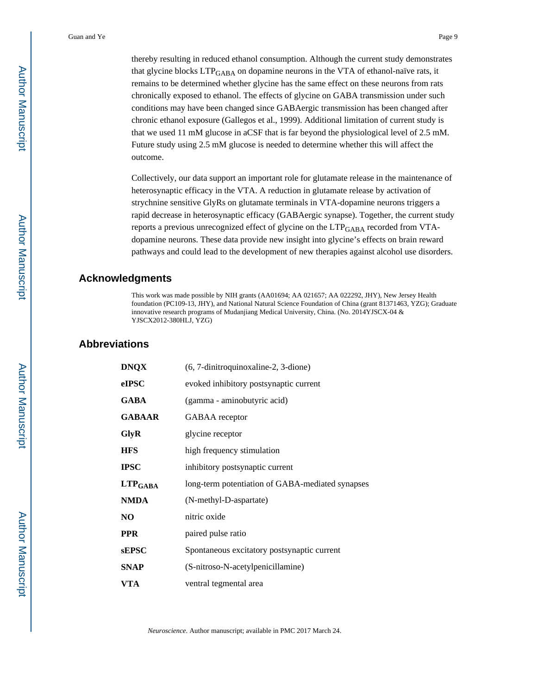thereby resulting in reduced ethanol consumption. Although the current study demonstrates that glycine blocks LTP<sub>GABA</sub> on dopamine neurons in the VTA of ethanol-naïve rats, it remains to be determined whether glycine has the same effect on these neurons from rats chronically exposed to ethanol. The effects of glycine on GABA transmission under such conditions may have been changed since GABAergic transmission has been changed after chronic ethanol exposure (Gallegos et al., 1999). Additional limitation of current study is that we used 11 mM glucose in aCSF that is far beyond the physiological level of 2.5 mM. Future study using 2.5 mM glucose is needed to determine whether this will affect the outcome.

Collectively, our data support an important role for glutamate release in the maintenance of heterosynaptic efficacy in the VTA. A reduction in glutamate release by activation of strychnine sensitive GlyRs on glutamate terminals in VTA-dopamine neurons triggers a rapid decrease in heterosynaptic efficacy (GABAergic synapse). Together, the current study reports a previous unrecognized effect of glycine on the LTP<sub>GABA</sub> recorded from VTAdopamine neurons. These data provide new insight into glycine's effects on brain reward pathways and could lead to the development of new therapies against alcohol use disorders.

#### **Acknowledgments**

This work was made possible by NIH grants (AA01694; AA 021657; AA 022292, JHY), New Jersey Health foundation (PC109-13, JHY), and National Natural Science Foundation of China (grant 81371463, YZG); Graduate innovative research programs of Mudanjiang Medical University, China. (No. 2014YJSCX-04 & YJSCX2012-380HLJ, YZG)

## **Abbreviations**

| <b>DNQX</b>      | (6, 7-dinitroquinoxaline-2, 3-dione)             |
|------------------|--------------------------------------------------|
| eIPSC            | evoked inhibitory postsynaptic current           |
| <b>GABA</b>      | (gamma - aminobutyric acid)                      |
| <b>GABAAR</b>    | GABAA receptor                                   |
| GlyR             | glycine receptor                                 |
| <b>HFS</b>       | high frequency stimulation                       |
| <b>IPSC</b>      | inhibitory postsynaptic current                  |
| $LTP_{\rm GABA}$ | long-term potentiation of GABA-mediated synapses |
| <b>NMDA</b>      | (N-methyl-D-aspartate)                           |
| NO               | nitric oxide                                     |
| PPR              | paired pulse ratio                               |
| sEPSC            | Spontaneous excitatory postsynaptic current      |
| <b>SNAP</b>      | (S-nitroso-N-acetylpenicillamine)                |
| <b>VTA</b>       | ventral tegmental area                           |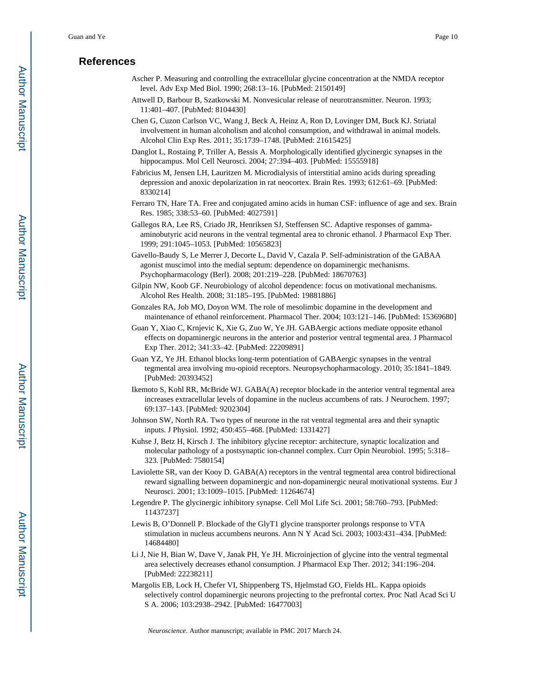## **References**

- Ascher P. Measuring and controlling the extracellular glycine concentration at the NMDA receptor level. Adv Exp Med Biol. 1990; 268:13–16. [PubMed: 2150149]
- Attwell D, Barbour B, Szatkowski M. Nonvesicular release of neurotransmitter. Neuron. 1993; 11:401–407. [PubMed: 8104430]
- Chen G, Cuzon Carlson VC, Wang J, Beck A, Heinz A, Ron D, Lovinger DM, Buck KJ. Striatal involvement in human alcoholism and alcohol consumption, and withdrawal in animal models. Alcohol Clin Exp Res. 2011; 35:1739–1748. [PubMed: 21615425]
- Danglot L, Rostaing P, Triller A, Bessis A. Morphologically identified glycinergic synapses in the hippocampus. Mol Cell Neurosci. 2004; 27:394–403. [PubMed: 15555918]
- Fabricius M, Jensen LH, Lauritzen M. Microdialysis of interstitial amino acids during spreading depression and anoxic depolarization in rat neocortex. Brain Res. 1993; 612:61–69. [PubMed: 8330214]
- Ferraro TN, Hare TA. Free and conjugated amino acids in human CSF: influence of age and sex. Brain Res. 1985; 338:53–60. [PubMed: 4027591]
- Gallegos RA, Lee RS, Criado JR, Henriksen SJ, Steffensen SC. Adaptive responses of gammaaminobutyric acid neurons in the ventral tegmental area to chronic ethanol. J Pharmacol Exp Ther. 1999; 291:1045–1053. [PubMed: 10565823]
- Gavello-Baudy S, Le Merrer J, Decorte L, David V, Cazala P. Self-administration of the GABAA agonist muscimol into the medial septum: dependence on dopaminergic mechanisms. Psychopharmacology (Berl). 2008; 201:219–228. [PubMed: 18670763]
- Gilpin NW, Koob GF. Neurobiology of alcohol dependence: focus on motivational mechanisms. Alcohol Res Health. 2008; 31:185–195. [PubMed: 19881886]
- Gonzales RA, Job MO, Doyon WM. The role of mesolimbic dopamine in the development and maintenance of ethanol reinforcement. Pharmacol Ther. 2004; 103:121–146. [PubMed: 15369680]
- Guan Y, Xiao C, Krnjevic K, Xie G, Zuo W, Ye JH. GABAergic actions mediate opposite ethanol effects on dopaminergic neurons in the anterior and posterior ventral tegmental area. J Pharmacol Exp Ther. 2012; 341:33–42. [PubMed: 22209891]
- Guan YZ, Ye JH. Ethanol blocks long-term potentiation of GABAergic synapses in the ventral tegmental area involving mu-opioid receptors. Neuropsychopharmacology. 2010; 35:1841–1849. [PubMed: 20393452]
- Ikemoto S, Kohl RR, McBride WJ. GABA(A) receptor blockade in the anterior ventral tegmental area increases extracellular levels of dopamine in the nucleus accumbens of rats. J Neurochem. 1997; 69:137–143. [PubMed: 9202304]
- Johnson SW, North RA. Two types of neurone in the rat ventral tegmental area and their synaptic inputs. J Physiol. 1992; 450:455–468. [PubMed: 1331427]
- Kuhse J, Betz H, Kirsch J. The inhibitory glycine receptor: architecture, synaptic localization and molecular pathology of a postsynaptic ion-channel complex. Curr Opin Neurobiol. 1995; 5:318– 323. [PubMed: 7580154]
- Laviolette SR, van der Kooy D. GABA(A) receptors in the ventral tegmental area control bidirectional reward signalling between dopaminergic and non-dopaminergic neural motivational systems. Eur J Neurosci. 2001; 13:1009–1015. [PubMed: 11264674]
- Legendre P. The glycinergic inhibitory synapse. Cell Mol Life Sci. 2001; 58:760–793. [PubMed: 11437237]
- Lewis B, O'Donnell P. Blockade of the GlyT1 glycine transporter prolongs response to VTA stimulation in nucleus accumbens neurons. Ann N Y Acad Sci. 2003; 1003:431–434. [PubMed: 14684480]
- Li J, Nie H, Bian W, Dave V, Janak PH, Ye JH. Microinjection of glycine into the ventral tegmental area selectively decreases ethanol consumption. J Pharmacol Exp Ther. 2012; 341:196–204. [PubMed: 22238211]
- Margolis EB, Lock H, Chefer VI, Shippenberg TS, Hjelmstad GO, Fields HL. Kappa opioids selectively control dopaminergic neurons projecting to the prefrontal cortex. Proc Natl Acad Sci U S A. 2006; 103:2938–2942. [PubMed: 16477003]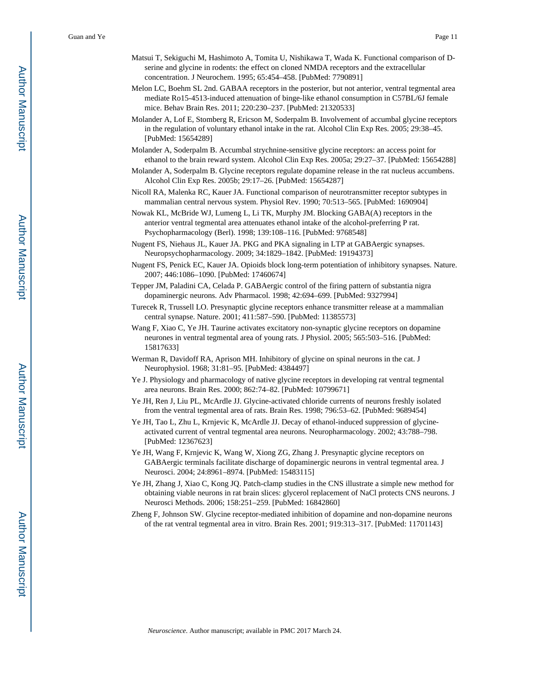- Matsui T, Sekiguchi M, Hashimoto A, Tomita U, Nishikawa T, Wada K. Functional comparison of Dserine and glycine in rodents: the effect on cloned NMDA receptors and the extracellular concentration. J Neurochem. 1995; 65:454–458. [PubMed: 7790891]
- Melon LC, Boehm SL 2nd. GABAA receptors in the posterior, but not anterior, ventral tegmental area mediate Ro15-4513-induced attenuation of binge-like ethanol consumption in C57BL/6J female mice. Behav Brain Res. 2011; 220:230–237. [PubMed: 21320533]
- Molander A, Lof E, Stomberg R, Ericson M, Soderpalm B. Involvement of accumbal glycine receptors in the regulation of voluntary ethanol intake in the rat. Alcohol Clin Exp Res. 2005; 29:38–45. [PubMed: 15654289]
- Molander A, Soderpalm B. Accumbal strychnine-sensitive glycine receptors: an access point for ethanol to the brain reward system. Alcohol Clin Exp Res. 2005a; 29:27–37. [PubMed: 15654288]
- Molander A, Soderpalm B. Glycine receptors regulate dopamine release in the rat nucleus accumbens. Alcohol Clin Exp Res. 2005b; 29:17–26. [PubMed: 15654287]
- Nicoll RA, Malenka RC, Kauer JA. Functional comparison of neurotransmitter receptor subtypes in mammalian central nervous system. Physiol Rev. 1990; 70:513–565. [PubMed: 1690904]
- Nowak KL, McBride WJ, Lumeng L, Li TK, Murphy JM. Blocking GABA(A) receptors in the anterior ventral tegmental area attenuates ethanol intake of the alcohol-preferring P rat. Psychopharmacology (Berl). 1998; 139:108–116. [PubMed: 9768548]
- Nugent FS, Niehaus JL, Kauer JA. PKG and PKA signaling in LTP at GABAergic synapses. Neuropsychopharmacology. 2009; 34:1829–1842. [PubMed: 19194373]
- Nugent FS, Penick EC, Kauer JA. Opioids block long-term potentiation of inhibitory synapses. Nature. 2007; 446:1086–1090. [PubMed: 17460674]
- Tepper JM, Paladini CA, Celada P. GABAergic control of the firing pattern of substantia nigra dopaminergic neurons. Adv Pharmacol. 1998; 42:694–699. [PubMed: 9327994]
- Turecek R, Trussell LO. Presynaptic glycine receptors enhance transmitter release at a mammalian central synapse. Nature. 2001; 411:587–590. [PubMed: 11385573]
- Wang F, Xiao C, Ye JH. Taurine activates excitatory non-synaptic glycine receptors on dopamine neurones in ventral tegmental area of young rats. J Physiol. 2005; 565:503–516. [PubMed: 15817633]
- Werman R, Davidoff RA, Aprison MH. Inhibitory of glycine on spinal neurons in the cat. J Neurophysiol. 1968; 31:81–95. [PubMed: 4384497]
- Ye J. Physiology and pharmacology of native glycine receptors in developing rat ventral tegmental area neurons. Brain Res. 2000; 862:74–82. [PubMed: 10799671]
- Ye JH, Ren J, Liu PL, McArdle JJ. Glycine-activated chloride currents of neurons freshly isolated from the ventral tegmental area of rats. Brain Res. 1998; 796:53–62. [PubMed: 9689454]
- Ye JH, Tao L, Zhu L, Krnjevic K, McArdle JJ. Decay of ethanol-induced suppression of glycineactivated current of ventral tegmental area neurons. Neuropharmacology. 2002; 43:788–798. [PubMed: 12367623]
- Ye JH, Wang F, Krnjevic K, Wang W, Xiong ZG, Zhang J. Presynaptic glycine receptors on GABAergic terminals facilitate discharge of dopaminergic neurons in ventral tegmental area. J Neurosci. 2004; 24:8961–8974. [PubMed: 15483115]
- Ye JH, Zhang J, Xiao C, Kong JQ. Patch-clamp studies in the CNS illustrate a simple new method for obtaining viable neurons in rat brain slices: glycerol replacement of NaCl protects CNS neurons. J Neurosci Methods. 2006; 158:251–259. [PubMed: 16842860]
- Zheng F, Johnson SW. Glycine receptor-mediated inhibition of dopamine and non-dopamine neurons of the rat ventral tegmental area in vitro. Brain Res. 2001; 919:313–317. [PubMed: 11701143]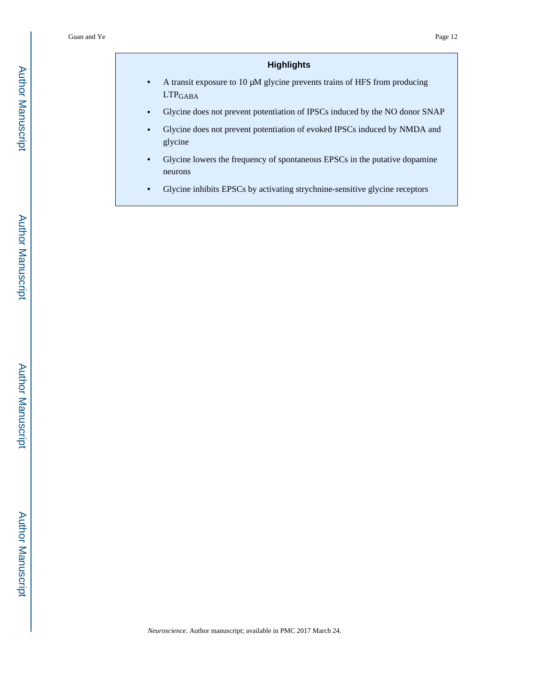## **Highlights**

- **•** A transit exposure to 10 μM glycine prevents trains of HFS from producing  $\ensuremath{\mathrm{LTP}_\mathrm{GABA}}$
- **•** Glycine does not prevent potentiation of IPSCs induced by the NO donor SNAP
- **•** Glycine does not prevent potentiation of evoked IPSCs induced by NMDA and glycine
- **•** Glycine lowers the frequency of spontaneous EPSCs in the putative dopamine neurons
- **•** Glycine inhibits EPSCs by activating strychnine-sensitive glycine receptors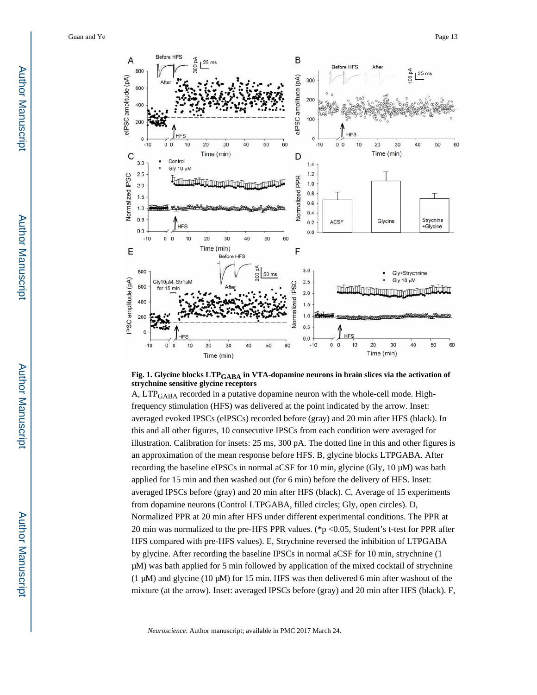



A, LTPGABA recorded in a putative dopamine neuron with the whole-cell mode. Highfrequency stimulation (HFS) was delivered at the point indicated by the arrow. Inset: averaged evoked IPSCs (eIPSCs) recorded before (gray) and 20 min after HFS (black). In this and all other figures, 10 consecutive IPSCs from each condition were averaged for illustration. Calibration for insets: 25 ms, 300 pA. The dotted line in this and other figures is an approximation of the mean response before HFS. B, glycine blocks LTPGABA. After recording the baseline eIPSCs in normal aCSF for 10 min, glycine (Gly, 10 μM) was bath applied for 15 min and then washed out (for 6 min) before the delivery of HFS. Inset: averaged IPSCs before (gray) and 20 min after HFS (black). C, Average of 15 experiments from dopamine neurons (Control LTPGABA, filled circles; Gly, open circles). D, Normalized PPR at 20 min after HFS under different experimental conditions. The PPR at 20 min was normalized to the pre-HFS PPR values. (\*p <0.05, Student's t-test for PPR after HFS compared with pre-HFS values). E, Strychnine reversed the inhibition of LTPGABA by glycine. After recording the baseline IPSCs in normal aCSF for 10 min, strychnine (1 μM) was bath applied for 5 min followed by application of the mixed cocktail of strychnine (1 μM) and glycine (10 μM) for 15 min. HFS was then delivered 6 min after washout of the mixture (at the arrow). Inset: averaged IPSCs before (gray) and 20 min after HFS (black). F,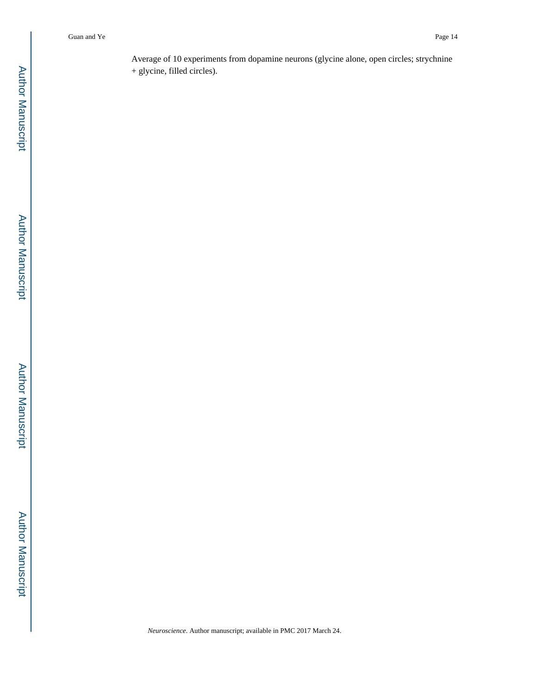Average of 10 experiments from dopamine neurons (glycine alone, open circles; strychnine + glycine, filled circles).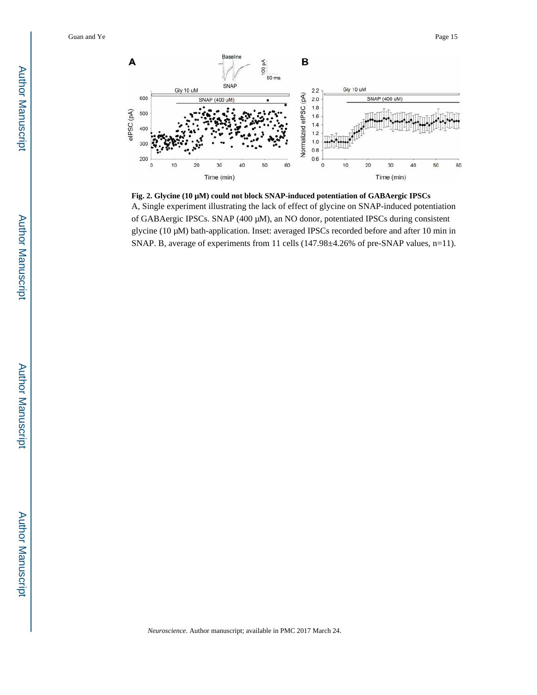

**Fig. 2. Glycine (10 μM) could not block SNAP-induced potentiation of GABAergic IPSCs** A, Single experiment illustrating the lack of effect of glycine on SNAP-induced potentiation of GABAergic IPSCs. SNAP (400 μM), an NO donor, potentiated IPSCs during consistent glycine (10 μM) bath-application. Inset: averaged IPSCs recorded before and after 10 min in SNAP. B, average of experiments from 11 cells (147.98±4.26% of pre-SNAP values, n=11).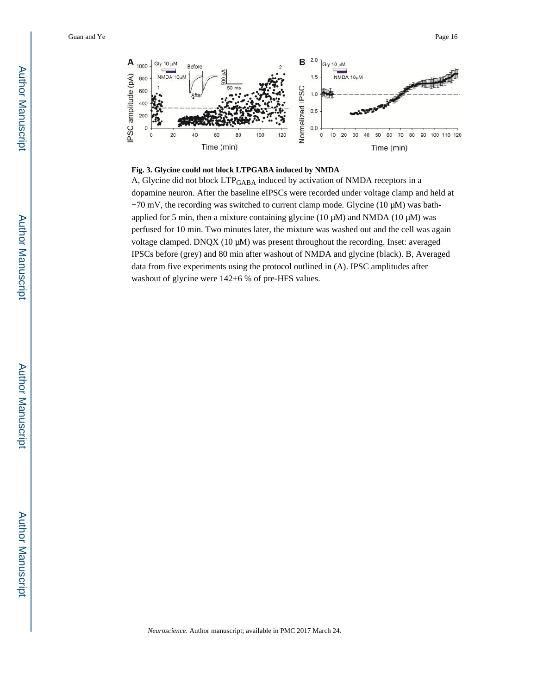

#### **Fig. 3. Glycine could not block LTPGABA induced by NMDA**

A, Glycine did not block LTP<sub>GABA</sub> induced by activation of NMDA receptors in a dopamine neuron. After the baseline eIPSCs were recorded under voltage clamp and held at −70 mV, the recording was switched to current clamp mode. Glycine (10 μM) was bathapplied for 5 min, then a mixture containing glycine (10  $\mu$ M) and NMDA (10  $\mu$ M) was perfused for 10 min. Two minutes later, the mixture was washed out and the cell was again voltage clamped. DNQX (10 μM) was present throughout the recording. Inset: averaged IPSCs before (grey) and 80 min after washout of NMDA and glycine (black). B, Averaged data from five experiments using the protocol outlined in (A). IPSC amplitudes after washout of glycine were 142±6 % of pre-HFS values.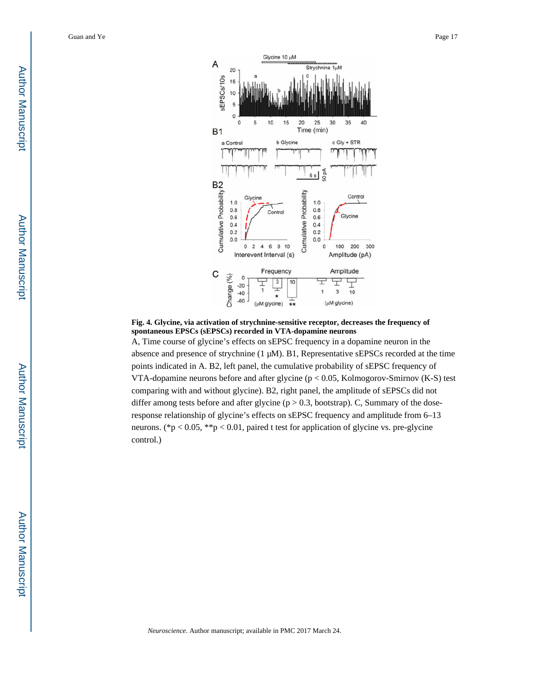

**Fig. 4. Glycine, via activation of strychnine-sensitive receptor, decreases the frequency of spontaneous EPSCs (sEPSCs) recorded in VTA-dopamine neurons**

A, Time course of glycine's effects on sEPSC frequency in a dopamine neuron in the absence and presence of strychnine (1 μM). B1, Representative sEPSCs recorded at the time points indicated in A. B2, left panel, the cumulative probability of sEPSC frequency of VTA-dopamine neurons before and after glycine (p < 0.05, Kolmogorov-Smirnov (K-S) test comparing with and without glycine). B2, right panel, the amplitude of sEPSCs did not differ among tests before and after glycine ( $p > 0.3$ , bootstrap). C, Summary of the doseresponse relationship of glycine's effects on sEPSC frequency and amplitude from 6–13 neurons. (\*p < 0.05, \*\*p < 0.01, paired t test for application of glycine vs. pre-glycine control.)